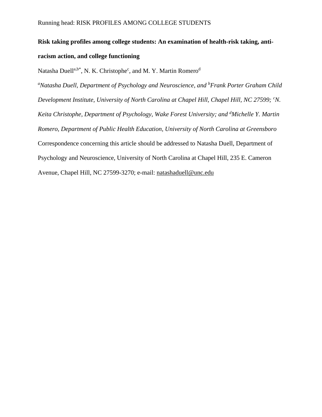# **Risk taking profiles among college students: An examination of health-risk taking, antiracism action, and college functioning**

Natasha Duell<sup>a,b\*</sup>, N. K. Christophe<sup>c</sup>, and M. Y. Martin Romero<sup>d</sup>

*<sup>a</sup>Natasha Duell, Department of Psychology and Neuroscience, and <sup>b</sup>Frank Porter Graham Child Development Institute, University of North Carolina at Chapel Hill, Chapel Hill, NC 27599; <sup>c</sup>N. Keita Christophe, Department of Psychology, Wake Forest University; and <sup>d</sup>Michelle Y. Martin Romero, Department of Public Health Education, University of North Carolina at Greensboro* Correspondence concerning this article should be addressed to Natasha Duell, Department of Psychology and Neuroscience, University of North Carolina at Chapel Hill, 235 E. Cameron Avenue, Chapel Hill, NC 27599-3270; e-mail: [natashaduell@unc.edu](mailto:natashaduell@unc.edu)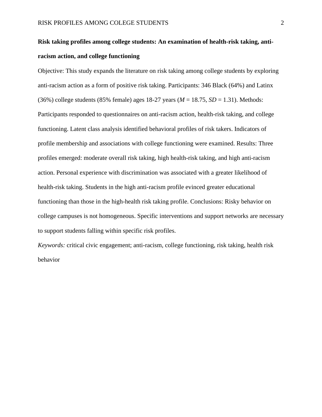## **Risk taking profiles among college students: An examination of health-risk taking, antiracism action, and college functioning**

Objective: This study expands the literature on risk taking among college students by exploring anti-racism action as a form of positive risk taking. Participants: 346 Black (64%) and Latinx (36%) college students (85% female) ages 18-27 years (*M* = 18.75, *SD* = 1.31). Methods: Participants responded to questionnaires on anti-racism action, health-risk taking, and college functioning. Latent class analysis identified behavioral profiles of risk takers. Indicators of profile membership and associations with college functioning were examined. Results: Three profiles emerged: moderate overall risk taking, high health-risk taking, and high anti-racism action. Personal experience with discrimination was associated with a greater likelihood of health-risk taking. Students in the high anti-racism profile evinced greater educational functioning than those in the high-health risk taking profile. Conclusions: Risky behavior on college campuses is not homogeneous. Specific interventions and support networks are necessary to support students falling within specific risk profiles.

*Keywords:* critical civic engagement; anti-racism, college functioning, risk taking, health risk behavior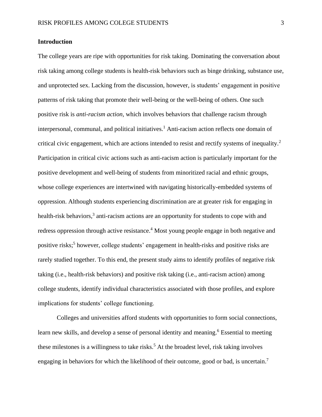#### **Introduction**

The college years are ripe with opportunities for risk taking. Dominating the conversation about risk taking among college students is health-risk behaviors such as binge drinking, substance use, and unprotected sex. Lacking from the discussion, however, is students' engagement in positive patterns of risk taking that promote their well-being or the well-being of others. One such positive risk is *anti-racism action,* which involves behaviors that challenge racism through interpersonal, communal, and political initiatives. <sup>1</sup> Anti-racism action reflects one domain of critical civic engagement, which are actions intended to resist and rectify systems of inequality.<sup>2</sup> Participation in critical civic actions such as anti-racism action is particularly important for the positive development and well-being of students from minoritized racial and ethnic groups, whose college experiences are intertwined with navigating historically-embedded systems of oppression. Although students experiencing discrimination are at greater risk for engaging in health-risk behaviors,<sup>3</sup> anti-racism actions are an opportunity for students to cope with and redress oppression through active resistance.<sup>4</sup> Most young people engage in both negative and positive risks; 5 however, college students' engagement in health-risks and positive risks are rarely studied together. To this end, the present study aims to identify profiles of negative risk taking (i.e., health-risk behaviors) and positive risk taking (i.e., anti-racism action) among college students, identify individual characteristics associated with those profiles, and explore implications for students' college functioning.

Colleges and universities afford students with opportunities to form social connections, learn new skills, and develop a sense of personal identity and meaning. <sup>6</sup> Essential to meeting these milestones is a willingness to take risks.<sup>5</sup> At the broadest level, risk taking involves engaging in behaviors for which the likelihood of their outcome, good or bad, is uncertain.<sup>7</sup>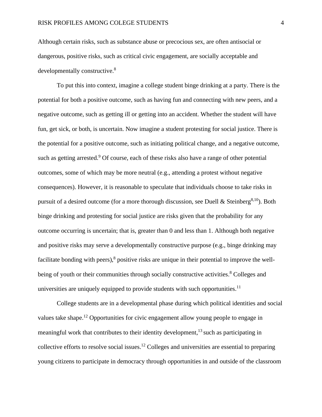Although certain risks, such as substance abuse or precocious sex, are often antisocial or dangerous, positive risks, such as critical civic engagement, are socially acceptable and developmentally constructive.<sup>8</sup>

To put this into context, imagine a college student binge drinking at a party. There is the potential for both a positive outcome, such as having fun and connecting with new peers, and a negative outcome, such as getting ill or getting into an accident. Whether the student will have fun, get sick, or both, is uncertain. Now imagine a student protesting for social justice. There is the potential for a positive outcome, such as initiating political change, and a negative outcome, such as getting arrested.<sup>9</sup> Of course, each of these risks also have a range of other potential outcomes, some of which may be more neutral (e.g., attending a protest without negative consequences). However, it is reasonable to speculate that individuals choose to take risks in pursuit of a desired outcome (for a more thorough discussion, see Duell & Steinberg<sup>8,10</sup>). Both binge drinking and protesting for social justice are risks given that the probability for any outcome occurring is uncertain; that is, greater than 0 and less than 1. Although both negative and positive risks may serve a developmentally constructive purpose (e.g., binge drinking may facilitate bonding with peers),<sup>8</sup> positive risks are unique in their potential to improve the wellbeing of youth or their communities through socially constructive activities.<sup>8</sup> Colleges and universities are uniquely equipped to provide students with such opportunities.<sup>11</sup>

College students are in a developmental phase during which political identities and social values take shape.<sup>12</sup> Opportunities for civic engagement allow young people to engage in meaningful work that contributes to their identity development,<sup>13</sup> such as participating in collective efforts to resolve social issues.<sup>12</sup> Colleges and universities are essential to preparing young citizens to participate in democracy through opportunities in and outside of the classroom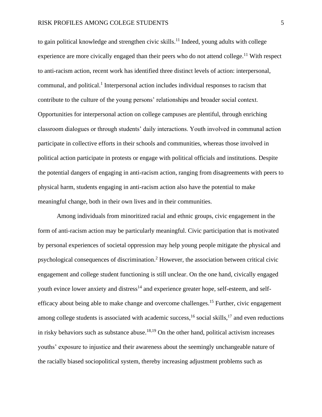to gain political knowledge and strengthen civic skills.<sup>11</sup> Indeed, young adults with college experience are more civically engaged than their peers who do not attend college.<sup>11</sup> With respect to anti-racism action, recent work has identified three distinct levels of action: interpersonal, communal, and political. 1 Interpersonal action includes individual responses to racism that contribute to the culture of the young persons' relationships and broader social context. Opportunities for interpersonal action on college campuses are plentiful, through enriching classroom dialogues or through students' daily interactions. Youth involved in communal action participate in collective efforts in their schools and communities, whereas those involved in political action participate in protests or engage with political officials and institutions. Despite the potential dangers of engaging in anti-racism action, ranging from disagreements with peers to physical harm, students engaging in anti-racism action also have the potential to make meaningful change, both in their own lives and in their communities.

Among individuals from minoritized racial and ethnic groups, civic engagement in the form of anti-racism action may be particularly meaningful. Civic participation that is motivated by personal experiences of societal oppression may help young people mitigate the physical and psychological consequences of discrimination. <sup>2</sup> However, the association between critical civic engagement and college student functioning is still unclear. On the one hand, civically engaged youth evince lower anxiety and distress<sup>14</sup> and experience greater hope, self-esteem, and selfefficacy about being able to make change and overcome challenges.<sup>15</sup> Further, civic engagement among college students is associated with academic success, <sup>16</sup> social skills, <sup>17</sup> and even reductions in risky behaviors such as substance abuse.<sup>18,19</sup> On the other hand, political activism increases youths' exposure to injustice and their awareness about the seemingly unchangeable nature of the racially biased sociopolitical system, thereby increasing adjustment problems such as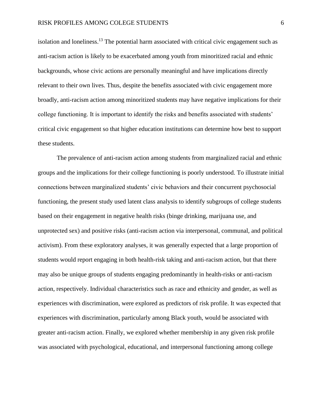isolation and loneliness.<sup>13</sup> The potential harm associated with critical civic engagement such as anti-racism action is likely to be exacerbated among youth from minoritized racial and ethnic backgrounds, whose civic actions are personally meaningful and have implications directly relevant to their own lives. Thus, despite the benefits associated with civic engagement more broadly, anti-racism action among minoritized students may have negative implications for their college functioning. It is important to identify the risks and benefits associated with students' critical civic engagement so that higher education institutions can determine how best to support these students.

The prevalence of anti-racism action among students from marginalized racial and ethnic groups and the implications for their college functioning is poorly understood. To illustrate initial connections between marginalized students' civic behaviors and their concurrent psychosocial functioning, the present study used latent class analysis to identify subgroups of college students based on their engagement in negative health risks (binge drinking, marijuana use, and unprotected sex) and positive risks (anti-racism action via interpersonal, communal, and political activism). From these exploratory analyses, it was generally expected that a large proportion of students would report engaging in both health-risk taking and anti-racism action, but that there may also be unique groups of students engaging predominantly in health-risks or anti-racism action, respectively. Individual characteristics such as race and ethnicity and gender, as well as experiences with discrimination, were explored as predictors of risk profile. It was expected that experiences with discrimination, particularly among Black youth, would be associated with greater anti-racism action. Finally, we explored whether membership in any given risk profile was associated with psychological, educational, and interpersonal functioning among college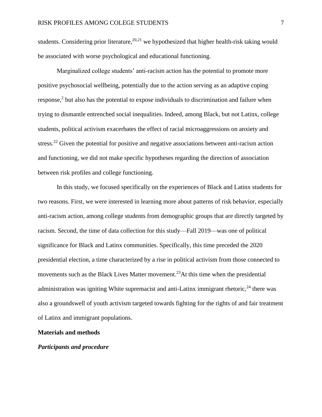students. Considering prior literature,  $20,21$  we hypothesized that higher health-risk taking would be associated with worse psychological and educational functioning.

Marginalized college students' anti-racism action has the potential to promote more positive psychosocial wellbeing, potentially due to the action serving as an adaptive coping response,<sup>2</sup> but also has the potential to expose individuals to discrimination and failure when trying to dismantle entrenched social inequalities. Indeed, among Black, but not Latinx, college students, political activism exacerbates the effect of racial microaggressions on anxiety and stress.<sup>22</sup> Given the potential for positive and negative associations between anti-racism action and functioning, we did not make specific hypotheses regarding the direction of association between risk profiles and college functioning.

In this study, we focused specifically on the experiences of Black and Latinx students for two reasons. First, we were interested in learning more about patterns of risk behavior, especially anti-racism action, among college students from demographic groups that are directly targeted by racism. Second, the time of data collection for this study—Fall 2019—was one of political significance for Black and Latinx communities. Specifically, this time preceded the 2020 presidential election, a time characterized by a rise in political activism from those connected to movements such as the Black Lives Matter movement.<sup>23</sup>At this time when the presidential administration was igniting White supremacist and anti-Latinx immigrant rhetoric,<sup>24</sup> there was also a groundswell of youth activism targeted towards fighting for the rights of and fair treatment of Latinx and immigrant populations.

#### **Materials and methods**

#### *Participants and procedure*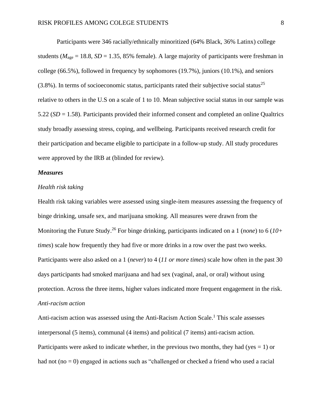Participants were 346 racially/ethnically minoritized (64% Black, 36% Latinx) college students ( $M_{\text{age}} = 18.8$ ,  $SD = 1.35$ , 85% female). A large majority of participants were freshman in college (66.5%), followed in frequency by sophomores (19.7%), juniors (10.1%), and seniors  $(3.8\%)$ . In terms of socioeconomic status, participants rated their subjective social status<sup>25</sup> relative to others in the U.S on a scale of 1 to 10. Mean subjective social status in our sample was 5.22 (*SD* = 1.58). Participants provided their informed consent and completed an online Qualtrics study broadly assessing stress, coping, and wellbeing. Participants received research credit for their participation and became eligible to participate in a follow-up study. All study procedures were approved by the IRB at (blinded for review).

#### *Measures*

#### *Health risk taking*

Health risk taking variables were assessed using single-item measures assessing the frequency of binge drinking, unsafe sex, and marijuana smoking. All measures were drawn from the Monitoring the Future Study. <sup>26</sup> For binge drinking, participants indicated on a 1 (*none*) to 6 (*10+ times*) scale how frequently they had five or more drinks in a row over the past two weeks. Participants were also asked on a 1 (*never*) to 4 (*11 or more times*) scale how often in the past 30 days participants had smoked marijuana and had sex (vaginal, anal, or oral) without using protection. Across the three items, higher values indicated more frequent engagement in the risk. *Anti-racism action*

Anti-racism action was assessed using the Anti-Racism Action Scale.<sup>1</sup> This scale assesses interpersonal (5 items), communal (4 items) and political (7 items) anti-racism action. Participants were asked to indicate whether, in the previous two months, they had (yes  $= 1$ ) or had not (no = 0) engaged in actions such as "challenged or checked a friend who used a racial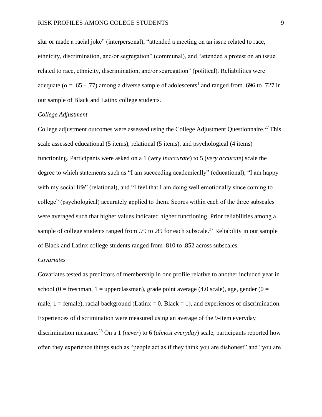slur or made a racial joke" (interpersonal), "attended a meeting on an issue related to race, ethnicity, discrimination, and/or segregation" (communal), and "attended a protest on an issue related to race, ethnicity, discrimination, and/or segregation" (political). Reliabilities were adequate ( $\alpha$  = .65 - .77) among a diverse sample of adolescents<sup>1</sup> and ranged from .696 to .727 in our sample of Black and Latinx college students.

#### *College Adjustment*

College adjustment outcomes were assessed using the College Adjustment Questionnaire.<sup>27</sup> This scale assessed educational (5 items), relational (5 items), and psychological (4 items) functioning. Participants were asked on a 1 (*very inaccurate*) to 5 (*very accurate*) scale the degree to which statements such as "I am succeeding academically" (educational), "I am happy with my social life" (relational), and "I feel that I am doing well emotionally since coming to college" (psychological) accurately applied to them. Scores within each of the three subscales were averaged such that higher values indicated higher functioning. Prior reliabilities among a sample of college students ranged from .79 to .89 for each subscale.<sup>27</sup> Reliability in our sample of Black and Latinx college students ranged from .810 to .852 across subscales.

#### *Covariates*

Covariates tested as predictors of membership in one profile relative to another included year in school (0 = freshman, 1 = upperclassman), grade point average (4.0 scale), age, gender (0 = male,  $1 =$  female), racial background (Latinx = 0, Black = 1), and experiences of discrimination. Experiences of discrimination were measured using an average of the 9-item everyday discrimination measure. <sup>28</sup> On a 1 (*never*) to 6 (*almost everyday*) scale, participants reported how often they experience things such as "people act as if they think you are dishonest" and "you are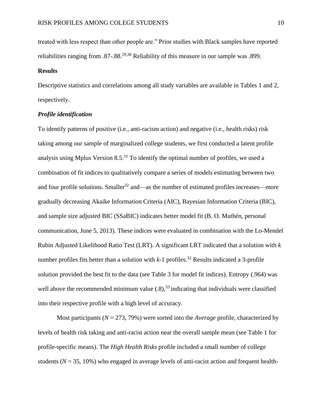treated with less respect than other people are." Prior studies with Black samples have reported reliabilities ranging from .87-.88.<sup>29,30</sup> Reliability of this measure in our sample was .899.

#### **Results**

Descriptive statistics and correlations among all study variables are available in Tables 1 and 2, respectively.

#### *Profile identification*

To identify patterns of positive (i.e., anti-racism action) and negative (i.e., health risks) risk taking among our sample of marginalized college students, we first conducted a latent profile analysis using Mplus Version 8.5. <sup>31</sup> To identify the optimal number of profiles, we used a combination of fit indices to qualitatively compare a series of models estimating between two and four profile solutions. Smaller<sup>32</sup> and—as the number of estimated profiles increases—more gradually decreasing Akaike Information Criteria (AIC), Bayesian Information Criteria (BIC), and sample size adjusted BIC (SSaBIC) indicates better model fit (B. O. Muthén, personal communication, June 5, 2013). These indices were evaluated in combination with the Lo-Mendel Rubin Adjusted Likelihood Ratio Test (LRT). A significant LRT indicated that a solution with *k* number profiles fits better than a solution with *k*-1 profiles. <sup>32</sup> Results indicated a 3-profile solution provided the best fit to the data (see Table 3 for model fit indices). Entropy (.964) was well above the recommended minimum value  $(.8)$ ,<sup>33</sup> indicating that individuals were classified into their respective profile with a high level of accuracy.

Most participants (*N* = 273, 79%) were sorted into the *Average* profile, characterized by levels of health risk taking and anti-racist action near the overall sample mean (see Table 1 for profile-specific means). The *High Health Risks* profile included a small number of college students ( $N = 35, 10\%$ ) who engaged in average levels of anti-racist action and frequent health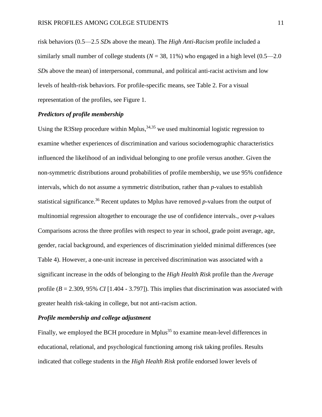risk behaviors (0.5—2.5 *SD*s above the mean). The *High Anti-Racism* profile included a similarly small number of college students ( $N = 38, 11\%$ ) who engaged in a high level ( $0.5$ — $2.0$ ) *SD*s above the mean) of interpersonal, communal, and political anti-racist activism and low levels of health-risk behaviors. For profile-specific means, see Table 2. For a visual representation of the profiles, see Figure 1.

#### *Predictors of profile membership*

Using the R3Step procedure within Mplus,  $34,35$  we used multinomial logistic regression to examine whether experiences of discrimination and various sociodemographic characteristics influenced the likelihood of an individual belonging to one profile versus another. Given the non-symmetric distributions around probabilities of profile membership, we use 95% confidence intervals, which do not assume a symmetric distribution, rather than *p*-values to establish statistical significance. <sup>36</sup> Recent updates to Mplus have removed *p*-values from the output of multinomial regression altogether to encourage the use of confidence intervals., over *p*-values Comparisons across the three profiles with respect to year in school, grade point average, age, gender, racial background, and experiences of discrimination yielded minimal differences (see Table 4). However, a one-unit increase in perceived discrimination was associated with a significant increase in the odds of belonging to the *High Health Risk* profile than the *Average* profile (*B* = 2.309, 95% *CI* [1.404 - 3.797]). This implies that discrimination was associated with greater health risk-taking in college, but not anti-racism action.

#### *Profile membership and college adjustment*

Finally, we employed the BCH procedure in Mplus<sup>35</sup> to examine mean-level differences in educational, relational, and psychological functioning among risk taking profiles. Results indicated that college students in the *High Health Risk* profile endorsed lower levels of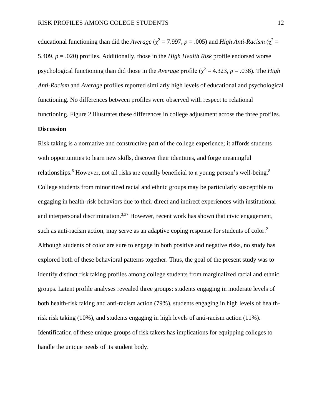educational functioning than did the *Average* ( $\chi^2$  = 7.997, *p* = .005) and *High Anti-Racism* ( $\chi^2$  = 5.409, *p* = .020) profiles. Additionally, those in the *High Health Risk* profile endorsed worse psychological functioning than did those in the *Average* profile ( $\chi^2 = 4.323$ ,  $p = .038$ ). The *High Anti-Racism* and *Average* profiles reported similarly high levels of educational and psychological functioning. No differences between profiles were observed with respect to relational functioning. Figure 2 illustrates these differences in college adjustment across the three profiles.

#### **Discussion**

Risk taking is a normative and constructive part of the college experience; it affords students with opportunities to learn new skills, discover their identities, and forge meaningful relationships.<sup>6</sup> However, not all risks are equally beneficial to a young person's well-being.<sup>8</sup> College students from minoritized racial and ethnic groups may be particularly susceptible to engaging in health-risk behaviors due to their direct and indirect experiences with institutional and interpersonal discrimination.<sup>3,37</sup> However, recent work has shown that civic engagement, such as anti-racism action, may serve as an adaptive coping response for students of color.<sup>2</sup> Although students of color are sure to engage in both positive and negative risks, no study has explored both of these behavioral patterns together. Thus, the goal of the present study was to identify distinct risk taking profiles among college students from marginalized racial and ethnic groups. Latent profile analyses revealed three groups: students engaging in moderate levels of both health-risk taking and anti-racism action (79%), students engaging in high levels of healthrisk risk taking (10%), and students engaging in high levels of anti-racism action (11%). Identification of these unique groups of risk takers has implications for equipping colleges to handle the unique needs of its student body.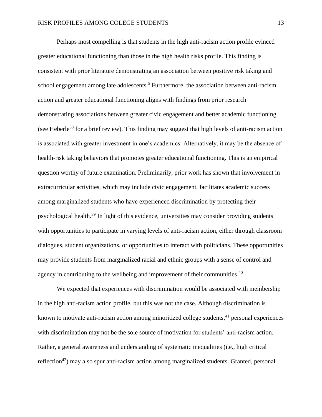Perhaps most compelling is that students in the high anti-racism action profile evinced greater educational functioning than those in the high health risks profile. This finding is consistent with prior literature demonstrating an association between positive risk taking and school engagement among late adolescents.<sup>5</sup> Furthermore, the association between anti-racism action and greater educational functioning aligns with findings from prior research demonstrating associations between greater civic engagement and better academic functioning (see Heberle<sup>38</sup> for a brief review). This finding may suggest that high levels of anti-racism action is associated with greater investment in one's academics. Alternatively, it may be the absence of health-risk taking behaviors that promotes greater educational functioning. This is an empirical question worthy of future examination. Preliminarily, prior work has shown that involvement in extracurricular activities, which may include civic engagement, facilitates academic success among marginalized students who have experienced discrimination by protecting their psychological health.<sup>39</sup> In light of this evidence, universities may consider providing students with opportunities to participate in varying levels of anti-racism action, either through classroom dialogues, student organizations, or opportunities to interact with politicians. These opportunities may provide students from marginalized racial and ethnic groups with a sense of control and agency in contributing to the wellbeing and improvement of their communities. $40$ 

We expected that experiences with discrimination would be associated with membership in the high anti-racism action profile, but this was not the case. Although discrimination is known to motivate anti-racism action among minoritized college students,<sup>41</sup> personal experiences with discrimination may not be the sole source of motivation for students' anti-racism action. Rather, a general awareness and understanding of systematic inequalities (i.e., high critical reflection<sup>42</sup>) may also spur anti-racism action among marginalized students. Granted, personal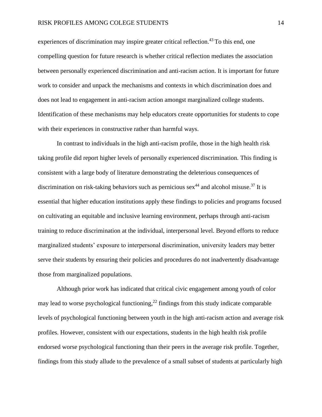experiences of discrimination may inspire greater critical reflection.<sup>43</sup> To this end, one compelling question for future research is whether critical reflection mediates the association between personally experienced discrimination and anti-racism action. It is important for future work to consider and unpack the mechanisms and contexts in which discrimination does and does not lead to engagement in anti-racism action amongst marginalized college students. Identification of these mechanisms may help educators create opportunities for students to cope with their experiences in constructive rather than harmful ways.

In contrast to individuals in the high anti-racism profile, those in the high health risk taking profile did report higher levels of personally experienced discrimination. This finding is consistent with a large body of literature demonstrating the deleterious consequences of discrimination on risk-taking behaviors such as pernicious  $sex^{44}$  and alcohol misuse.<sup>37</sup> It is essential that higher education institutions apply these findings to policies and programs focused on cultivating an equitable and inclusive learning environment, perhaps through anti-racism training to reduce discrimination at the individual, interpersonal level. Beyond efforts to reduce marginalized students' exposure to interpersonal discrimination, university leaders may better serve their students by ensuring their policies and procedures do not inadvertently disadvantage those from marginalized populations.

Although prior work has indicated that critical civic engagement among youth of color may lead to worse psychological functioning,<sup>22</sup> findings from this study indicate comparable levels of psychological functioning between youth in the high anti-racism action and average risk profiles. However, consistent with our expectations, students in the high health risk profile endorsed worse psychological functioning than their peers in the average risk profile. Together, findings from this study allude to the prevalence of a small subset of students at particularly high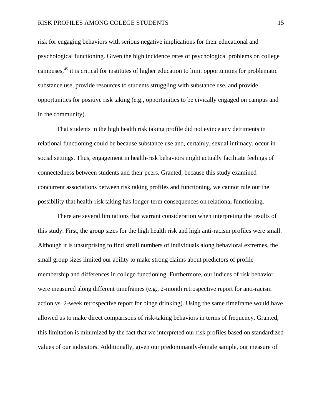#### RISK PROFILES AMONG COLEGE STUDENTS 15

risk for engaging behaviors with serious negative implications for their educational and psychological functioning. Given the high incidence rates of psychological problems on college campuses, 45 it is critical for institutes of higher education to limit opportunities for problematic substance use, provide resources to students struggling with substance use, and provide opportunities for positive risk taking (e.g., opportunities to be civically engaged on campus and in the community).

That students in the high health risk taking profile did not evince any detriments in relational functioning could be because substance use and, certainly, sexual intimacy, occur in social settings. Thus, engagement in health-risk behaviors might actually facilitate feelings of connectedness between students and their peers. Granted, because this study examined concurrent associations between risk taking profiles and functioning, we cannot rule out the possibility that health-risk taking has longer-term consequences on relational functioning.

There are several limitations that warrant consideration when interpreting the results of this study. First, the group sizes for the high health risk and high anti-racism profiles were small. Although it is unsurprising to find small numbers of individuals along behavioral extremes, the small group sizes limited our ability to make strong claims about predictors of profile membership and differences in college functioning. Furthermore, our indices of risk behavior were measured along different timeframes (e.g., 2-month retrospective report for anti-racism action vs. 2-week retrospective report for binge drinking). Using the same timeframe would have allowed us to make direct comparisons of risk-taking behaviors in terms of frequency. Granted, this limitation is minimized by the fact that we interpreted our risk profiles based on standardized values of our indicators. Additionally, given our predominantly-female sample, our measure of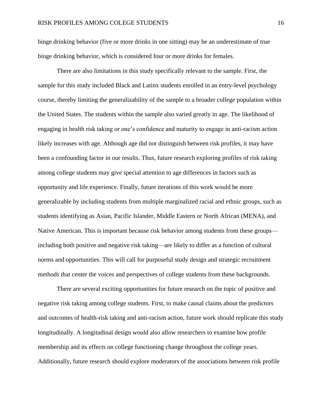binge drinking behavior (five or more drinks in one sitting) may be an underestimate of true binge drinking behavior, which is considered four or more drinks for females.

There are also limitations in this study specifically relevant to the sample. First, the sample for this study included Black and Latinx students enrolled in an entry-level psychology course, thereby limiting the generalizability of the sample to a broader college population within the United States. The students within the sample also varied greatly in age. The likelihood of engaging in health risk taking or one's confidence and maturity to engage in anti-racism action likely increases with age. Although age did not distinguish between risk profiles, it may have been a confounding factor in our results. Thus, future research exploring profiles of risk taking among college students may give special attention to age differences in factors such as opportunity and life experience. Finally, future iterations of this work would be more generalizable by including students from multiple marginalized racial and ethnic groups, such as students identifying as Asian, Pacific Islander, Middle Eastern or North African (MENA), and Native American. This is important because risk behavior among students from these groups including both positive and negative risk taking—are likely to differ as a function of cultural norms and opportunities. This will call for purposeful study design and strategic recruitment methods that center the voices and perspectives of college students from these backgrounds.

There are several exciting opportunities for future research on the topic of positive and negative risk taking among college students. First, to make causal claims about the predictors and outcomes of health-risk taking and anti-racism action, future work should replicate this study longitudinally. A longitudinal design would also allow researchers to examine how profile membership and its effects on college functioning change throughout the college years. Additionally, future research should explore moderators of the associations between risk profile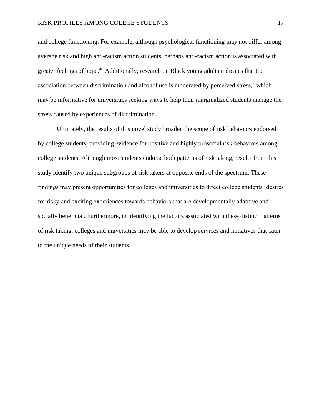and college functioning. For example, although psychological functioning may not differ among average risk and high anti-racism action students, perhaps anti-racism action is associated with greater feelings of hope.<sup>46</sup> Additionally, research on Black young adults indicates that the association between discrimination and alcohol use is moderated by perceived stress, $3$  which may be informative for universities seeking ways to help their marginalized students manage the stress caused by experiences of discrimination.

Ultimately, the results of this novel study broaden the scope of risk behaviors endorsed by college students, providing evidence for positive and highly prosocial risk behaviors among college students. Although most students endorse both patterns of risk taking, results from this study identify two unique subgroups of risk takers at opposite ends of the spectrum. These findings may present opportunities for colleges and universities to direct college students' desires for risky and exciting experiences towards behaviors that are developmentally adaptive and socially beneficial. Furthermore, in identifying the factors associated with these distinct patterns of risk taking, colleges and universities may be able to develop services and initiatives that cater to the unique needs of their students.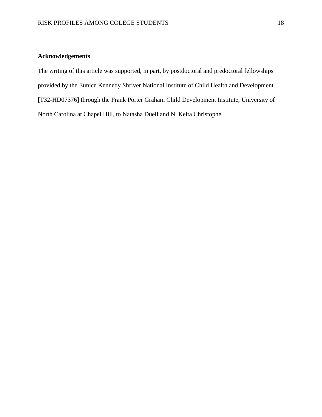### **Acknowledgements**

The writing of this article was supported, in part, by postdoctoral and predoctoral fellowships provided by the Eunice Kennedy Shriver National Institute of Child Health and Development [T32-HD07376] through the Frank Porter Graham Child Development Institute, University of North Carolina at Chapel Hill, to Natasha Duell and N. Keita Christophe.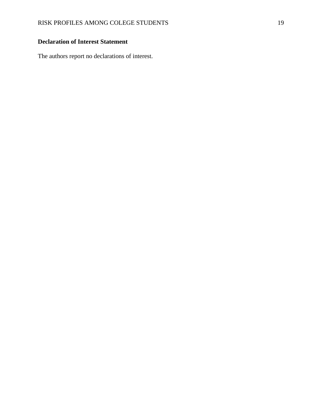### **Declaration of Interest Statement**

The authors report no declarations of interest.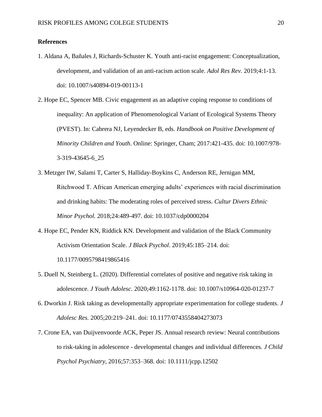#### **References**

- 1. Aldana A, Bañales J, Richards-Schuster K. Youth anti-racist engagement: Conceptualization, development, and validation of an anti-racism action scale. *Adol Res Rev.* 2019;4:1-13. doi: 10.1007/s40894-019-00113-1
- 2. Hope EC, Spencer MB. Civic engagement as an adaptive coping response to conditions of inequality: An application of Phenomenological Variant of Ecological Systems Theory (PVEST). In: Cabrera NJ, Leyendecker B, eds. *Handbook on Positive Development of Minority Children and Youth*. Online: Springer, Cham; 2017:421-435. doi: 10.1007/978- 3-319-43645-6\_25
- 3. Metzger IW, Salami T, Carter S, Halliday-Boykins C, Anderson RE, Jernigan MM, Ritchwood T. African American emerging adults' experiences with racial discrimination and drinking habits: The moderating roles of perceived stress. *Cultur Divers Ethnic Minor Psychol.* 2018;24:489-497. doi: 10.1037/cdp0000204
- 4. Hope EC, Pender KN, Riddick KN. Development and validation of the Black Community Activism Orientation Scale. *J Black Psychol*. 2019;45:185–214[.](https://doi.org/10.1177/0095798419865416) doi: 10.1177/0095798419865416
- 5. Duell N, Steinberg L. (2020). Differential correlates of positive and negative risk taking in adolescence. *J Youth Adolesc.* 2020;49:1162-1178. doi: 10.1007/s10964-020-01237-7
- 6. Dworkin J. Risk taking as developmentally appropriate experimentation for college students. *J Adolesc Res.* 2005;20:219–241. doi: 10.1177/0743558404273073
- 7. Crone EA, van Duijvenvoorde ACK, Peper JS. Annual research review: Neural contributions to risk-taking in adolescence - developmental changes and individual differences*. J Child Psychol Psychiatry,* 2016;57:353–368. doi: 10.1111/jcpp.12502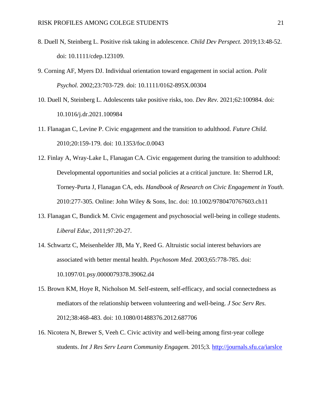- 8. Duell N, Steinberg L. Positive risk taking in adolescence. *Child Dev Perspect.* 2019;13:48-52. doi: 10.1111/cdep.123109.
- 9. Corning AF, Myers DJ. Individual orientation toward engagement in social action. *Polit Psychol.* 2002;23:703-729. doi: 10.1111/0162-895X.00304
- 10. Duell N, Steinberg L. Adolescents take positive risks, too. *Dev Rev.* 2021;62:100984. doi: 10.1016/j.dr.2021.100984
- 11. Flanagan C, Levine P. Civic engagement and the transition to adulthood. *Future Child.*  2010;20:159-179. doi: 10.1353/foc.0.0043
- 12. Finlay A, Wray-Lake L, Flanagan CA. Civic engagement during the transition to adulthood: Developmental opportunities and social policies at a critical juncture. In: Sherrod LR, Torney-Purta J, Flanagan CA, eds. *Handbook of Research on Civic Engagement in Youth.* 2010:277-305*.* Online: John Wiley & Sons, Inc. doi: 10.1002/9780470767603.ch11
- 13. Flanagan C, Bundick M. Civic engagement and psychosocial well-being in college students. *Liberal Educ,* 2011;97:20-27.
- 14. Schwartz C, Meisenhelder JB, Ma Y, Reed G. Altruistic social interest behaviors are associated with better mental health. *Psychosom Med.* 2003;65:778-785. doi: 10.1097/01.psy.0000079378.39062.d4
- 15. Brown KM, Hoye R, Nicholson M. Self-esteem, self-efficacy, and social connectedness as mediators of the relationship between volunteering and well-being. *J Soc Serv Res.*  2012;38:468-483. doi: 10.1080/01488376.2012.687706
- 16. Nicotera N, Brewer S, Veeh C. Civic activity and well-being among first-year college students. *Int J Res Serv Learn Community Engagem.* 2015;3*.* <http://journals.sfu.ca/iarslce>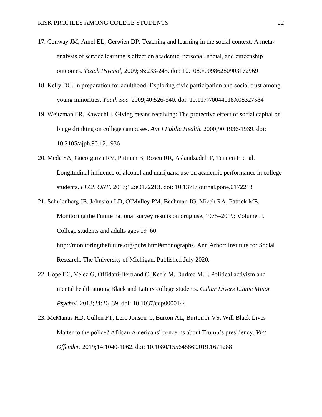- 17. Conway JM, Amel EL, Gerwien DP. Teaching and learning in the social context: A metaanalysis of service learning's effect on academic, personal, social, and citizenship outcomes. *Teach Psychol,* 2009;36:233-245. doi: 10.1080/00986280903172969
- 18. Kelly DC. In preparation for adulthood: Exploring civic participation and social trust among young minorities. *Youth Soc.* 2009;40:526-540. doi: 10.1177/0044118X08327584
- 19. Weitzman ER, Kawachi I. Giving means receiving: The protective effect of social capital on binge drinking on college campuses. *Am J Public Health.* 2000;90:1936-1939. doi: 10.2105/ajph.90.12.1936
- 20. Meda SA, Gueorguiva RV, Pittman B, Rosen RR, Aslandzadeh F, Tennen H et al. Longitudinal influence of alcohol and marijuana use on academic performance in college students. *PLOS ONE.* 2017;12:e0172213. doi: 10.1371/journal.pone.0172213
- 21. Schulenberg JE, Johnston LD, O'Malley PM, Bachman JG, Miech RA, Patrick ME. Monitoring the Future national survey results on drug use, 1975–2019: Volume II, College students and adults ages 19–60.

[http://monitoringthefuture.org/pubs.html#monographs.](http://monitoringthefuture.org/pubs.html#monographs) Ann Arbor: Institute for Social Research, The University of Michigan. Published July 2020.

- 22. Hope EC, Velez G, Offidani-Bertrand C, Keels M, Durkee M. I. Political activism and mental health among Black and Latinx college students. *Cultur Divers Ethnic Minor Psychol.* 2018;24:26–39[.](https://doi.org/10.1037/cdp0000144) [doi: 10.1037/cdp0000144](https://doi.org/10.1037/cdp0000144)
- 23. McManus HD, Cullen FT, Lero Jonson C, Burton AL, Burton Jr VS. Will Black Lives Matter to the police? African Americans' concerns about Trump's presidency. *Vict Offender.* 2019;14:1040-1062. doi: 10.1080/15564886.2019.1671288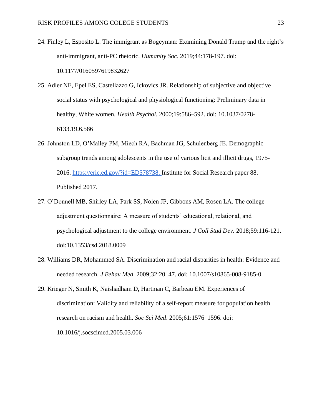- 24. Finley L, Esposito L. The immigrant as Bogeyman: Examining Donald Trump and the right's anti-immigrant, anti-PC rhetoric. *Humanity Soc.* 2019;44:178-197. doi: 10.1177/0160597619832627
- 25. Adler NE, Epel ES, Castellazzo G, Ickovics JR. Relationship of subjective and objective social status with psychological and physiological functioning: Preliminary data in healthy, White women. *Health Psychol.* 2000;19:586–592[.](https://doi.org/10.1037/0278-6133.19.6.586) doi: 10.1037/0278- 6133.19.6.586
- 26. Johnston LD, O'Malley PM, Miech RA, Bachman JG, Schulenberg JE. Demographic subgroup trends among adolescents in the use of various licit and illicit drugs, 1975- 2016. [https://eric.ed.gov/?id=ED578738.](https://eric.ed.gov/?id=ED578738) Institute for Social Research|paper 88. Published 2017[.](https://eric.ed.gov/?id=ED578738)
- 27. O'Donnell MB, Shirley LA, Park SS, Nolen JP, Gibbons AM, Rosen LA. The college adjustment questionnaire: A measure of students' educational, relational, and psychological adjustment to the college environment. *J Coll Stud Dev.* 2018;59:116-121. doi:10.1353/csd.2018.0009
- 28. Williams DR, Mohammed SA. Discrimination and racial disparities in health: Evidence and needed research. *J Behav Med*. 2009;32:20–47[.](https://doi.org/10.1007/s10865-008-9185-0) doi: 10.1007/s10865-008-9185-0
- 29. Krieger N, Smith K, Naishadham D, Hartman C, Barbeau EM. Experiences of discrimination: Validity and reliability of a self-report measure for population health research on racism and health. *Soc Sci Med*. 2005;61:1576–1596[.](https://doi.org/10.1016/j.socscimed.2005.03.006) doi: [10.1016/j.socscimed.2005.03.006](https://doi.org/10.1016/j.socscimed.2005.03.006)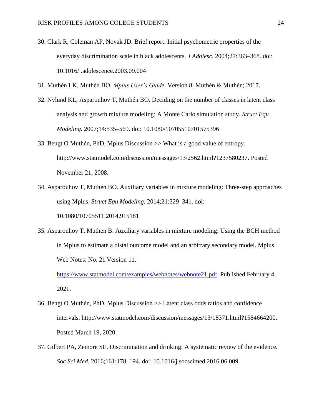- 30. Clark R, Coleman AP, Novak JD. Brief report: Initial psychometric properties of the everyday discrimination scale in black adolescents. *J Adolesc.* 2004;27:363–368. [doi:](https://doi.org/10.1016/j.adolescence.2003.09.004)  [10.1016/j.adolescence.2003.09.004](https://doi.org/10.1016/j.adolescence.2003.09.004)
- 31. Muthén LK, Muthén BO. *Mplus User's Guide.* Version 8. Muthén & Muthén; 2017[.](https://doi.org/www.StatModel.com)
- 32. Nylund KL, Asparouhov T, Muthén BO. Deciding on the number of classes in latent class analysis and growth mixture modeling: A Monte Carlo simulation study. *Struct Equ Modeling.* 2007;14:535–569[.](https://doi.org/10.1080/10705510701575396) doi: 10.1080/10705510701575396
- 33. Bengt O Muthén, PhD, Mplus Discussion >> What is a good value of entropy[.](%20) http://www.statmodel.com/discussion/messages/13/2562.html?1237580237. Posted November 21, 2008.
- 34. Asparouhov T, Muthén BO. Auxiliary variables in mixture modeling: Three-step approaches using Mplus. *Struct Equ Modeling.* 2014;21:329–341. doi:

10.1080/10705511.2014.915181

35. Asparouhov T, Muthen B. Auxiliary variables in mixture modeling: Using the BCH method in Mplus to estimate a distal outcome model and an arbitrary secondary model. Mplus Web Notes: No. 21|Version 11.

[https://www.statmodel.com/examples/webnotes/webnote21.pdf.](https://www.statmodel.com/examples/webnotes/webnote21.pdf) Published February 4, 2021.

- 36. Bengt O Muthén, PhD, Mplus Discussion >> Latent class odds ratios and confidence intervals. [h](http://www.statmodel.com/discussion/messages/13/18371.html?1584664200)ttp://www.statmodel.com/discussion/messages/13/18371.html?1584664200. Posted March 19, 2020.
- 37. Gilbert PA, Zemore SE. Discrimination and drinking: A systematic review of the evidence. *Soc Sci Med.* 2016;161:178–194. doi: 10.1016/j.socscimed.2016.06.009.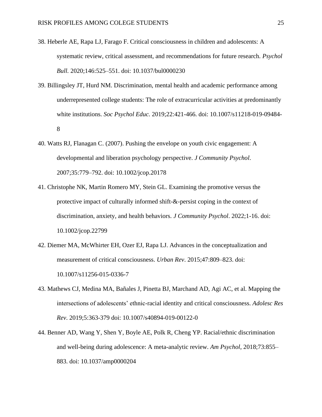- 38. Heberle AE, Rapa LJ, Farago F. Critical consciousness in children and adolescents: A systematic review, critical assessment, and recommendations for future research. *Psychol Bull.* 2020;146:525–551[.](https://doi.org/10.1037/bul0000230) doi: 10.1037/bul0000230
- 39. Billingsley JT, Hurd NM. Discrimination, mental health and academic performance among underrepresented college students: The role of extracurricular activities at predominantly white institutions. *Soc Psychol Educ.* 2019;22:421-466. doi: 10.1007/s11218-019-09484- 8
- 40. Watts RJ, Flanagan C. (2007). Pushing the envelope on youth civic engagement: A developmental and liberation psychology perspective. *J Community Psychol*. 2007;35:779–792. doi: 10.1002/jcop.20178
- 41. Christophe NK, Martin Romero MY, Stein GL. Examining the promotive versus the protective impact of culturally informed shift-&-persist coping in the context of discrimination, anxiety, and health behaviors. *J Community Psychol*. 2022;1-16. doi: 10.1002/jcop.22799
- 42. Diemer MA, McWhirter EH, Ozer EJ, Rapa LJ. Advances in the conceptualization and measurement of critical consciousness. *Urban Rev*. 2015;47:809–823. [d](https://doi.org/10.1007/s11256-015-0336-7)oi: 10.1007/s11256-015-0336-7
- 43. Mathews CJ, Medina MA, Bañales J, Pinetta BJ, Marchand AD, Agi AC, et al. Mapping the intersections of adolescents' ethnic-racial identity and critical consciousness. *Adolesc Res Rev*. 2019;5:363-379 doi: 10.1007/s40894-019-00122-0
- 44. Benner AD, Wang Y, Shen Y, Boyle AE, Polk R, Cheng YP. Racial/ethnic discrimination and well-being during adolescence: A meta-analytic review. *Am Psychol*, 2018;73:855– 883[.](https://doi.org/10.1037/amp0000204) doi: 10.1037/amp0000204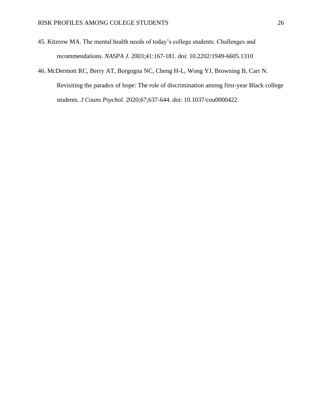- 45. Kitzrow MA. The mental health needs of today's college students: Challenges and recommendations. *NASPA J.* 2003;41:167-181. doi: 10.2202/1949-6605.1310
- 46. McDermott RC, Berry AT, Borgogna NC, Cheng H-L, Wong YJ, Browning B, Carr N. Revisiting the paradox of hope: The role of discrimination among first-year Black college students. *J Couns Psychol.* 2020;67;637-644. doi: 10.1037/cou0000422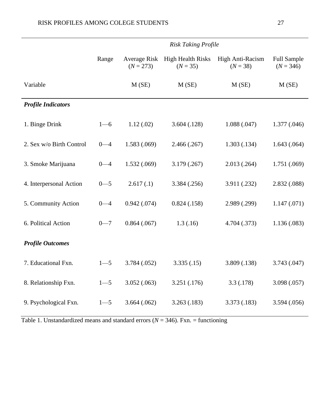|                           | <b>Risk Taking Profile</b> |                             |                                        |                                |                                   |
|---------------------------|----------------------------|-----------------------------|----------------------------------------|--------------------------------|-----------------------------------|
|                           | Range                      | Average Risk<br>$(N = 273)$ | <b>High Health Risks</b><br>$(N = 35)$ | High Anti-Racism<br>$(N = 38)$ | <b>Full Sample</b><br>$(N = 346)$ |
| Variable                  |                            | M(SE)                       | M(SE)                                  | M(SE)                          | $M$ (SE)                          |
| <b>Profile Indicators</b> |                            |                             |                                        |                                |                                   |
| 1. Binge Drink            | $1 - 6$                    | 1.12(0.02)                  | 3.604(.128)                            | 1.088(.047)                    | 1.377(.046)                       |
| 2. Sex w/o Birth Control  | $0 - 4$                    | 1.583(0.069)                | 2.466(.267)                            | 1.303(0.134)                   | 1.643(.064)                       |
| 3. Smoke Marijuana        | $0 - 4$                    | 1.532(0.069)                | 3.179(.267)                            | 2.013(.264)                    | 1.751 (.069)                      |
| 4. Interpersonal Action   | $0 - 5$                    | 2.617(0.1)                  | 3.384 (.256)                           | 3.911 (.232)                   | 2.832 (.088)                      |
| 5. Community Action       | $0 - 4$                    | 0.942(0.074)                | 0.824(0.158)                           | 2.989 (.299)                   | 1.147(071)                        |
| 6. Political Action       | $0 - 7$                    | 0.864(0.067)                | 1.3(0.16)                              | 4.704 (.373)                   | 1.136(.083)                       |
| <b>Profile Outcomes</b>   |                            |                             |                                        |                                |                                   |
| 7. Educational Fxn.       | $1 - 5$                    | 3.784 (.052)                | 3.335(.15)                             | 3.809 (.138)                   | 3.743 (.047)                      |
| 8. Relationship Fxn.      | $1 - 5$                    | 3.052(.063)                 | 3.251(.176)                            | 3.3(0.178)                     | 3.098 (.057)                      |
| 9. Psychological Fxn.     | $1 - 5$                    | 3.664(.062)                 | 3.263(0.183)                           | 3.373 (.183)                   | 3.594 (.056)                      |

Table 1. Unstandardized means and standard errors  $(N = 346)$ . Fxn. = functioning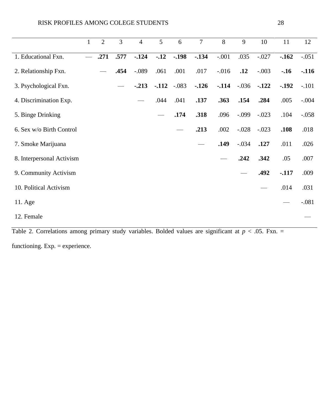|                           | $\mathbf{1}$ | $\overline{2}$ | $\overline{3}$     | $\overline{4}$ | 5      | 6                                                                  | $\overline{7}$ | 8                                                                                                                                                                                     | 9       | 10      | 11      | 12      |
|---------------------------|--------------|----------------|--------------------|----------------|--------|--------------------------------------------------------------------|----------------|---------------------------------------------------------------------------------------------------------------------------------------------------------------------------------------|---------|---------|---------|---------|
| 1. Educational Fxn.       |              | .271           | .577               | $-124$         | $-12$  | $-.198$                                                            | $-134$         | $-.001$                                                                                                                                                                               | .035    | $-.027$ | $-162$  | $-.051$ |
| 2. Relationship Fxn.      |              |                | .454               | $-.089$        | .061   | .001                                                               | .017           | $-0.016$                                                                                                                                                                              | .12     | $-.003$ | $-.16$  | $-.116$ |
| 3. Psychological Fxn.     |              |                |                    | $-213$         | $-112$ | $-.083$                                                            | $-126$         | $-114$                                                                                                                                                                                | $-.036$ | $-122$  | $-.192$ | $-.101$ |
| 4. Discrimination Exp.    |              |                |                    |                | .044   | .041                                                               | .137           | .363                                                                                                                                                                                  | .154    | .284    | .005    | $-.004$ |
| 5. Binge Drinking         |              |                |                    |                |        | .174                                                               | .318           | .096                                                                                                                                                                                  | $-.099$ | $-.023$ | .104    | $-.058$ |
| 6. Sex w/o Birth Control  |              |                |                    |                |        |                                                                    | .213           | .002                                                                                                                                                                                  | $-.028$ | $-.023$ | .108    | .018    |
| 7. Smoke Marijuana        |              |                |                    |                |        |                                                                    |                | .149                                                                                                                                                                                  | $-.034$ | .127    | .011    | .026    |
| 8. Interpersonal Activism |              |                |                    |                |        |                                                                    |                |                                                                                                                                                                                       | .242    | .342    | .05     | .007    |
| 9. Community Activism     |              |                |                    |                |        |                                                                    |                |                                                                                                                                                                                       |         | .492    | $-117$  | .009    |
| 10. Political Activism    |              |                |                    |                |        |                                                                    |                |                                                                                                                                                                                       |         |         | .014    | .031    |
| 11. Age                   |              |                |                    |                |        |                                                                    |                |                                                                                                                                                                                       |         |         |         | $-.081$ |
| 12. Female                |              |                |                    |                |        |                                                                    |                |                                                                                                                                                                                       |         |         |         |         |
| $T-1.1 - T$               |              |                | ولمستنقذ والمستعمل |                |        | $\Lambda$ . In the contract $\Lambda$ is the contract of $\Lambda$ |                | $\mathcal{L}$ $\mathcal{L}$ $\mathcal{L}$ $\mathcal{L}$ $\mathcal{L}$ $\mathcal{L}$ $\mathcal{L}$ $\mathcal{L}$ $\mathcal{L}$ $\mathcal{L}$ $\mathcal{L}$ $\mathcal{L}$ $\mathcal{L}$ |         |         |         |         |

Table 2. Correlations among primary study variables. Bolded values are significant at  $p < .05$ . Fxn. =

functioning. Exp. = experience.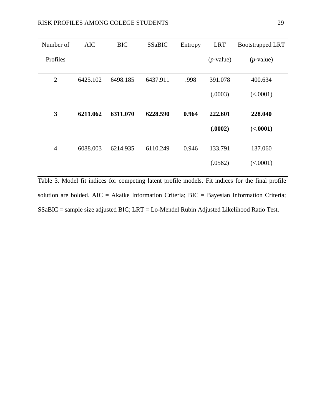| Number of      | <b>AIC</b> | <b>BIC</b> | <b>SSaBIC</b> | Entropy | <b>LRT</b>   | <b>Bootstrapped LRT</b> |
|----------------|------------|------------|---------------|---------|--------------|-------------------------|
| Profiles       |            |            |               |         | $(p$ -value) | $(p$ -value)            |
| $\overline{2}$ | 6425.102   | 6498.185   | 6437.911      | .998    | 391.078      | 400.634                 |
|                |            |            |               |         | (.0003)      | (<.0001)                |
| $\mathbf{3}$   | 6211.062   | 6311.070   | 6228.590      | 0.964   | 222.601      | 228.040                 |
|                |            |            |               |         | (.0002)      | (<.0001)                |
| $\overline{4}$ | 6088.003   | 6214.935   | 6110.249      | 0.946   | 133.791      | 137.060                 |
|                |            |            |               |         | (.0562)      | (<.0001)                |

Table 3. Model fit indices for competing latent profile models. Fit indices for the final profile solution are bolded. AIC = Akaike Information Criteria; BIC = Bayesian Information Criteria; SSaBIC = sample size adjusted BIC; LRT = Lo-Mendel Rubin Adjusted Likelihood Ratio Test.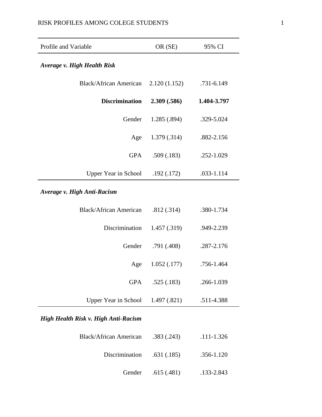| Profile and Variable               | OR (SE)      | 95% CI      |
|------------------------------------|--------------|-------------|
| <b>Average v. High Health Risk</b> |              |             |
| <b>Black/African American</b>      | 2.120(1.152) | .731-6.149  |
| <b>Discrimination</b>              | 2.309 (.586) | 1.404-3.797 |
| Gender                             | 1.285 (.894) | .329-5.024  |
| Age                                | 1.379 (.314) | .882-2.156  |
| <b>GPA</b>                         | .509(.183)   | .252-1.029  |
| <b>Upper Year in School</b>        | .192(.172)   | .033-1.114  |
| Average v. High Anti-Racism        |              |             |
| <b>Black/African American</b>      | .812(.314)   | .380-1.734  |
| Discrimination                     | 1.457(.319)  | .949-2.239  |
| Gender                             | .791(.408)   | .287-2.176  |
| Age                                | 1.052(0.177) | .756-1.464  |
| <b>GPA</b>                         | .525(.183)   | .266-1.039  |
| <b>Upper Year in School</b>        | 1.497 (.821) | .511-4.388  |

## *High Health Risk v. High Anti-Racism*

| Black/African American     | .383(.243)         | .111-1.326 |
|----------------------------|--------------------|------------|
| Discrimination .631 (.185) |                    | .356-1.120 |
|                            | Gender .615 (.481) | .133-2.843 |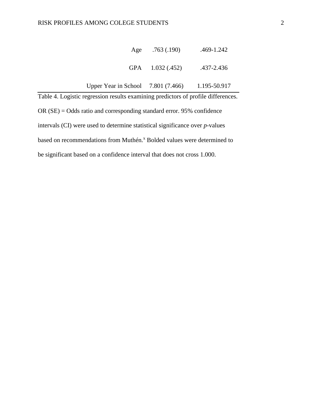|                                                                                   | Age .763 (.190)   | .469-1.242   |  |  |  |
|-----------------------------------------------------------------------------------|-------------------|--------------|--|--|--|
|                                                                                   | GPA $1.032(.452)$ | .437-2.436   |  |  |  |
| Upper Year in School $7.801(7.466)$                                               |                   | 1.195-50.917 |  |  |  |
| Table 4. Logistic regression results examining predictors of profile differences. |                   |              |  |  |  |

OR (SE) = Odds ratio and corresponding standard error. 95% confidence intervals (CI) were used to determine statistical significance over *p*-values based on recommendations from Muthén.<sup>x</sup> Bolded values were determined to be significant based on a confidence interval that does not cross 1.000.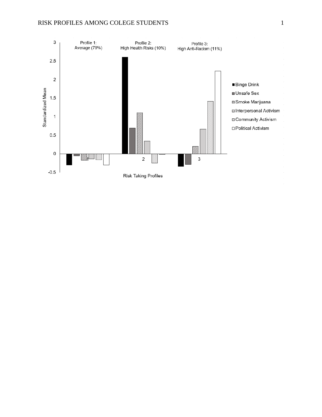#### RISK PROFILES AMONG COLEGE STUDENTS 1

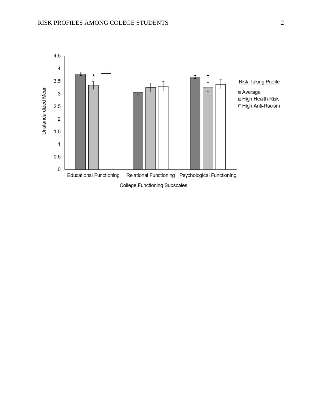